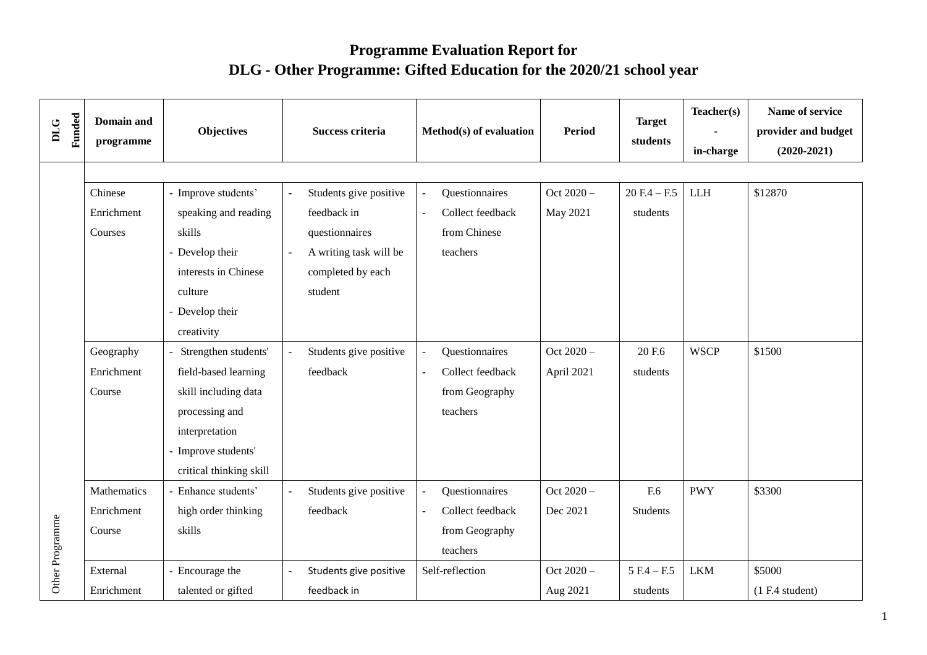## **Programme Evaluation Report for DLG - Other Programme: Gifted Education for the 2020/21 school year**

| Funded<br><b>DLG</b> | Domain and<br>programme | <b>Objectives</b>       |                | <b>Success criteria</b> |                          | Method(s) of evaluation | <b>Period</b> | <b>Target</b><br>students | Teacher(s)<br>in-charge | Name of service<br>provider and budget<br>$(2020-2021)$ |  |  |
|----------------------|-------------------------|-------------------------|----------------|-------------------------|--------------------------|-------------------------|---------------|---------------------------|-------------------------|---------------------------------------------------------|--|--|
|                      |                         |                         |                |                         |                          |                         |               |                           |                         |                                                         |  |  |
|                      | Chinese                 | - Improve students'     |                | Students give positive  |                          | Questionnaires          | Oct 2020-     | $20 F.4 - F.5$            | <b>LLH</b>              | \$12870                                                 |  |  |
|                      | Enrichment              | speaking and reading    |                | feedback in             | $\sim$                   | Collect feedback        | May 2021      | students                  |                         |                                                         |  |  |
|                      | Courses                 | skills                  |                | questionnaires          |                          | from Chinese            |               |                           |                         |                                                         |  |  |
|                      |                         | - Develop their         | $\overline{a}$ | A writing task will be  |                          | teachers                |               |                           |                         |                                                         |  |  |
|                      |                         | interests in Chinese    |                | completed by each       |                          |                         |               |                           |                         |                                                         |  |  |
|                      |                         | culture                 |                | student                 |                          |                         |               |                           |                         |                                                         |  |  |
|                      |                         | - Develop their         |                |                         |                          |                         |               |                           |                         |                                                         |  |  |
|                      |                         | creativity              |                |                         |                          |                         |               |                           |                         |                                                         |  |  |
|                      | Geography               | Strengthen students'    |                | Students give positive  |                          | Questionnaires          | Oct 2020-     | 20 F.6                    | <b>WSCP</b>             | \$1500                                                  |  |  |
|                      | Enrichment              | field-based learning    |                | feedback                | $\overline{a}$           | Collect feedback        | April 2021    | students                  |                         |                                                         |  |  |
|                      | Course                  | skill including data    |                |                         |                          | from Geography          |               |                           |                         |                                                         |  |  |
|                      |                         | processing and          |                |                         |                          | teachers                |               |                           |                         |                                                         |  |  |
|                      |                         | interpretation          |                |                         |                          |                         |               |                           |                         |                                                         |  |  |
|                      |                         | - Improve students'     |                |                         |                          |                         |               |                           |                         |                                                         |  |  |
| Other Programme      |                         | critical thinking skill |                |                         |                          |                         |               |                           |                         |                                                         |  |  |
|                      | Mathematics             | - Enhance students'     |                | Students give positive  |                          | Questionnaires          | Oct $2020 -$  | F.6                       | <b>PWY</b>              | \$3300                                                  |  |  |
|                      | Enrichment              | high order thinking     |                | feedback                | $\overline{\phantom{a}}$ | Collect feedback        | Dec 2021      | <b>Students</b>           |                         |                                                         |  |  |
|                      | Course                  | skills                  |                |                         |                          | from Geography          |               |                           |                         |                                                         |  |  |
|                      |                         |                         |                |                         |                          | teachers                |               |                           |                         |                                                         |  |  |
|                      | External                | - Encourage the         |                | Students give positive  |                          | Self-reflection         | Oct 2020 -    | $5 F.4 - F.5$             | <b>LKM</b>              | \$5000                                                  |  |  |
|                      | Enrichment              | talented or gifted      |                | feedback in             |                          |                         | Aug 2021      | students                  |                         | (1 F.4 student)                                         |  |  |